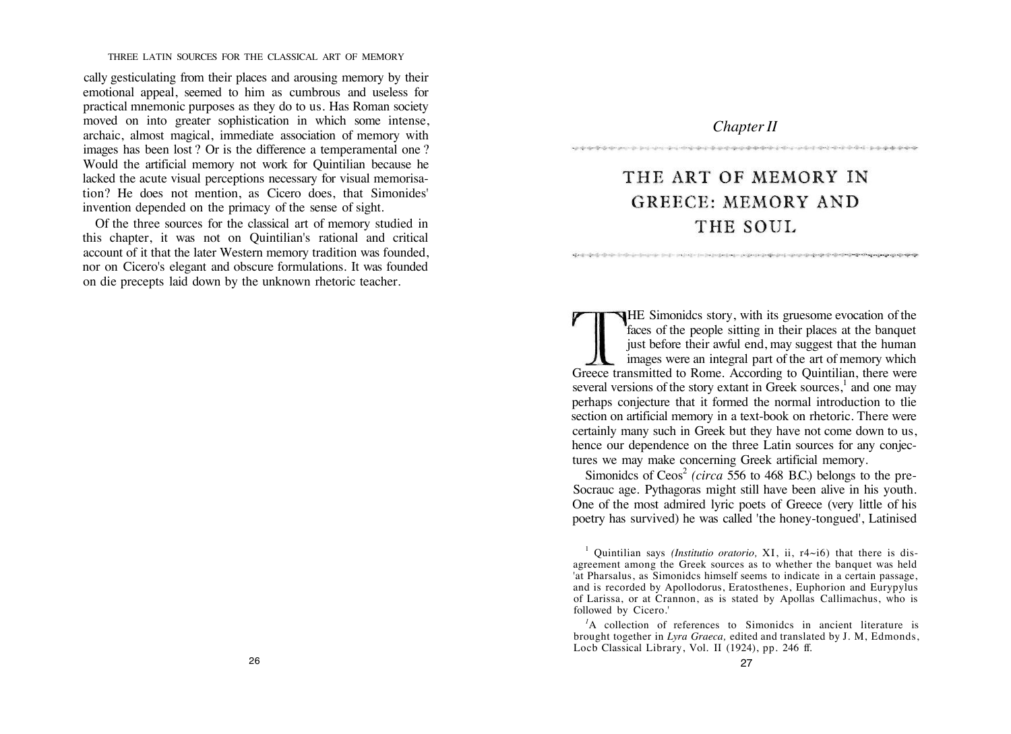THREE LATIN SOURCES FOR THE CLASSICAL ART OF MEMORY

cally gesticulating from their places and arousing memory by their emotional appeal, seemed to him as cumbrous and useless for practical mnemonic purposes as they do to us. Has Roman society moved on into greater sophistication in which some intense, archaic, almost magical, immediate association of memory with images has been lost ? Or is the difference a temperamental one ? Would the artificial memory not work for Quintilian because he lacked the acute visual perceptions necessary for visual memorisation? He does not mention, as Cicero does, that Simonides' invention depended on the primacy of the sense of sight.

Of the three sources for the classical art of memory studied in this chapter, it was not on Quintilian's rational and critical account of it that the later Western memory tradition was founded, nor on Cicero's elegant and obscure formulations. It was founded on die precepts laid down by the unknown rhetoric teacher.

# *Chapter II*  as desperting education and a projective completion desperting a quarter desperting a projective projective desperting and a discharged in the control of the control of the control of the control of the control of the cont

# THE ART OF MEMORY IN **GREECE: MEMORY AND** THE SOUL

HE Simonidcs story, with its gruesome evocation of the faces of the people sitting in their places at the banquet just before their awful end, may suggest that the human images were an integral part of the art of memory which Greece transmitted to Rome. According to Quintilian, there were several versions of the story extant in Greek sources,<sup>1</sup> and one may perhaps conjecture that it formed the normal introduction to tlie section on artificial memory in a text-book on rhetoric. There were certainly many such in Greek but they have not come down to us, hence our dependence on the three Latin sources for any conjectures we may make concerning Greek artificial memory.

Simonides of Ceos<sup>2</sup> (circa 556 to 468 B.C.) belongs to the pre-Socrauc age. Pythagoras might still have been alive in his youth. One of the most admired lyric poets of Greece (very little of his poetry has survived) he was called 'the honey-tongued', Latinised

<sup>&</sup>lt;sup>1</sup> Quintilian says (Institutio oratorio, XI, ii, r4~i6) that there is disagreement among the Greek sources as to whether the banquet was held 'at Pharsalus, as Simonidcs himself seems to indicate in a certain passage, and is recorded by Apollodorus, Eratosthenes, Euphorion and Eurypylus of Larissa, or at Crannon, as is stated by Apollas Callimachus, who is followed by Cicero.'

<sup>&</sup>lt;sup>1</sup>A collection of references to Simonidcs in ancient literature is brought together in *Lyra Graeca,* edited and translated by J. M, Edmonds, Locb Classical Library, Vol. II (1924), pp. 246 ff.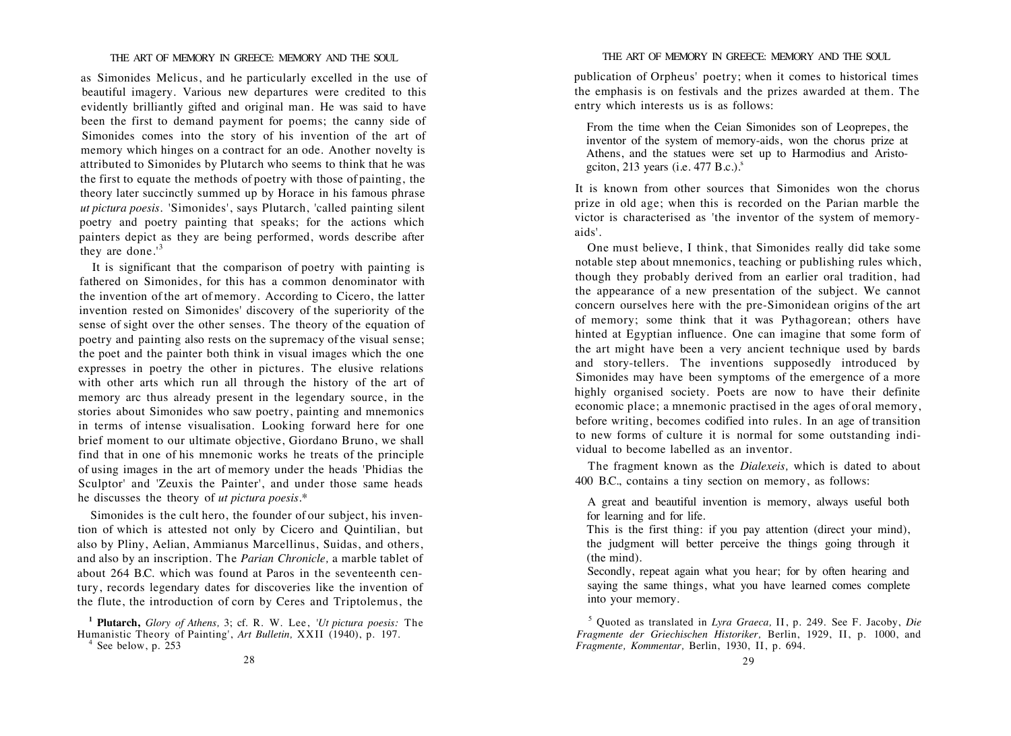as Simonides Melicus, and he particularly excelled in the use of beautiful imagery. Various new departures were credited to this evidently brilliantly gifted and original man. He was said to have been the first to demand payment for poems; the canny side of Simonides comes into the story of his invention of the art of memory which hinges on a contract for an ode. Another novelty is attributed to Simonides by Plutarch who seems to think that he was the first to equate the methods of poetry with those of painting, the theory later succinctly summed up by Horace in his famous phrase *ut pictura poesis.* 'Simonides', says Plutarch, 'called painting silent poetry and poetry painting that speaks; for the actions which painters depict as they are being performed, words describe after they are done.'<sup>3</sup>

It is significant that the comparison of poetry with painting is fathered on Simonides, for this has a common denominator with the invention of the art of memory. According to Cicero, the latter invention rested on Simonides' discovery of the superiority of the sense of sight over the other senses. The theory of the equation of poetry and painting also rests on the supremacy of the visual sense; the poet and the painter both think in visual images which the one expresses in poetry the other in pictures. The elusive relations with other arts which run all through the history of the art of memory arc thus already present in the legendary source, in the stories about Simonides who saw poetry, painting and mnemonics in terms of intense visualisation. Looking forward here for one brief moment to our ultimate objective, Giordano Bruno, we shall find that in one of his mnemonic works he treats of the principle of using images in the art of memory under the heads 'Phidias the Sculptor' and 'Zeuxis the Painter', and under those same heads he discusses the theory of *ut pictura poesis.\** 

Simonides is the cult hero, the founder of our subject, his invention of which is attested not only by Cicero and Quintilian, but also by Pliny, Aelian, Ammianus Marcellinus, Suidas, and others, and also by an inscription. The *Parian Chronicle,* a marble tablet of about 264 B.C. which was found at Paros in the seventeenth century, records legendary dates for discoveries like the invention of the flute, the introduction of corn by Ceres and Triptolemus, the

### THE ART OF MEMORY IN GREECE: MEMORY AND THE SOUL

publication of Orpheus' poetry; when it comes to historical times the emphasis is on festivals and the prizes awarded at them. The entry which interests us is as follows:

From the time when the Ceian Simonides son of Leoprepes, the inventor of the system of memory-aids, won the chorus prize at Athens, and the statues were set up to Harmodius and Aristogciton, 213 years (i.e.  $477 B.c.$ ).<sup>s</sup>

It is known from other sources that Simonides won the chorus prize in old age; when this is recorded on the Parian marble the victor is characterised as 'the inventor of the system of memoryaids'.

One must believe, I think, that Simonides really did take some notable step about mnemonics, teaching or publishing rules which, though they probably derived from an earlier oral tradition, had the appearance of a new presentation of the subject. We cannot concern ourselves here with the pre-Simonidean origins of the art of memory; some think that it was Pythagorean; others have hinted at Egyptian influence. One can imagine that some form of the art might have been a very ancient technique used by bards and story-tellers. The inventions supposedly introduced by Simonides may have been symptoms of the emergence of a more highly organised society. Poets are now to have their definite economic place; a mnemonic practised in the ages of oral memory, before writing, becomes codified into rules. In an age of transition to new forms of culture it is normal for some outstanding individual to become labelled as an inventor.

The fragment known as the *Dialexeis,* which is dated to about 400 B.C., contains a tiny section on memory, as follows:

A great and beautiful invention is memory, always useful both for learning and for life.

This is the first thing: if you pay attention (direct your mind), the judgment will better perceive the things going through it (the mind).

Secondly, repeat again what you hear; for by often hearing and saying the same things, what you have learned comes complete into your memory.

**<sup>1</sup> Plutarch,** *Glory of Athens,* 3; cf. R. W. Lee, *'Ut pictura poesis:* The Humanistic Theory of Painting', *Art Bulletin,* XXII (1940), p. 197. 4

See below, p. 253

<sup>5</sup> Quoted as translated in *Lyra Graeca,* II, p. 249. See F. Jacoby, *Die Fragmente der Griechischen Historiker,* Berlin, 1929, II, p. 1000, and *Fragmente, Kommentar,* Berlin, 1930, II, p. 694.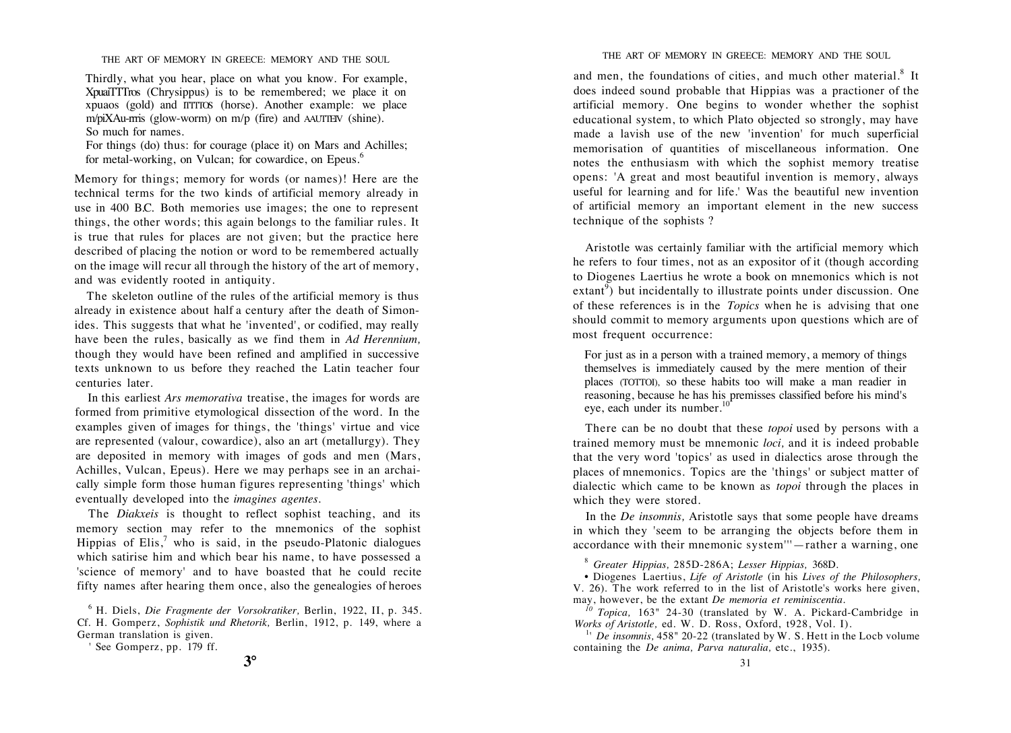Thirdly, what you hear, place on what you know. For example, XpuaiTTTros (Chrysippus) is to be remembered; we place it on xpuaos (gold) and ITTTOS (horse). Another example: we place m/piXAu-rrris (glow-worm) on m/p (fire) and AAUTIEIV (shine). So much for names.

For things (do) thus: for courage (place it) on Mars and Achilles; for metal-working, on Vulcan; for cowardice, on Epeus.<sup>6</sup>

Memory for things; memory for words (or names)! Here are the technical terms for the two kinds of artificial memory already in use in 400 B.C. Both memories use images; the one to represent things, the other words; this again belongs to the familiar rules. It is true that rules for places are not given; but the practice here described of placing the notion or word to be remembered actually on the image will recur all through the history of the art of memory, and was evidently rooted in antiquity.

The skeleton outline of the rules of the artificial memory is thus already in existence about half a century after the death of Simonides. This suggests that what he 'invented', or codified, may really have been the rules, basically as we find them in *Ad Herennium,*  though they would have been refined and amplified in successive texts unknown to us before they reached the Latin teacher four centuries later.

In this earliest *Ars memorativa* treatise, the images for words are formed from primitive etymological dissection of the word. In the examples given of images for things, the 'things' virtue and vice are represented (valour, cowardice), also an art (metallurgy). They are deposited in memory with images of gods and men (Mars, Achilles, Vulcan, Epeus). Here we may perhaps see in an archaically simple form those human figures representing 'things' which eventually developed into the *imagines agentes.* 

The *Diakxeis* is thought to reflect sophist teaching, and its memory section may refer to the mnemonics of the sophist Hippias of Elis,<sup>7</sup> who is said, in the pseudo-Platonic dialogues which satirise him and which bear his name, to have possessed a 'science of memory' and to have boasted that he could recite fifty names after hearing them once, also the genealogies of heroes

6 H. Diels, *Die Fragmente der Vorsokratiker,* Berlin, 1922, II, p. 345. Cf. H. Gomperz, *Sophistik und Rhetorik,* Berlin, 1912, p. 149, where a German translation is given.

### THE ART OF MEMORY IN GREECE: MEMORY AND THE SOUL

and men, the foundations of cities, and much other material.<sup>8</sup> It does indeed sound probable that Hippias was a practioner of the artificial memory. One begins to wonder whether the sophist educational system, to which Plato objected so strongly, may have made a lavish use of the new 'invention' for much superficial memorisation of quantities of miscellaneous information. One notes the enthusiasm with which the sophist memory treatise opens: 'A great and most beautiful invention is memory, always useful for learning and for life.' Was the beautiful new invention of artificial memory an important element in the new success technique of the sophists ?

Aristotle was certainly familiar with the artificial memory which he refers to four times, not as an expositor of it (though according to Diogenes Laertius he wrote a book on mnemonics which is not extant<sup>9</sup>) but incidentally to illustrate points under discussion. One of these references is in the *Topics* when he is advising that one should commit to memory arguments upon questions which are of most frequent occurrence:

For just as in a person with a trained memory, a memory of things themselves is immediately caused by the mere mention of their places (TOTTOI), so these habits too will make a man readier in reasoning, because he has his premisses classified before his mind's eye, each under its number. $10^{\circ}$ 

There can be no doubt that these *topoi* used by persons with a trained memory must be mnemonic *loci,* and it is indeed probable that the very word 'topics' as used in dialectics arose through the places of mnemonics. Topics are the 'things' or subject matter of dialectic which came to be known as *topoi* through the places in which they were stored.

In the *De insomnis,* Aristotle says that some people have dreams in which they 'seem to be arranging the objects before them in accordance with their mnemonic system'''—rather a warning, one

8  *Greater Hippias,* 285D-286A; *Lesser Hippias,* 368D.

• Diogenes Laertius, *Life of Aristotle* (in his *Lives of the Philosophers,*  V. 26). The work referred to in the list of Aristotle's works here given, may, however, be the extant *De memoria et reminiscentia*.

 *Topica,* 163" 24-30 (translated by W. A. Pickard-Cambridge in *Works of Aristotle, ed. W. D. Ross, Oxford, t928, Vol. I).* 

<sup>1</sup>' *De insomnis*, 458" 20-22 (translated by W. S. Hett in the Locb volume containing the *De anima, Parva naturalia,* etc., 1935).

<sup>&#</sup>x27; See Gomperz, pp. 179 ff.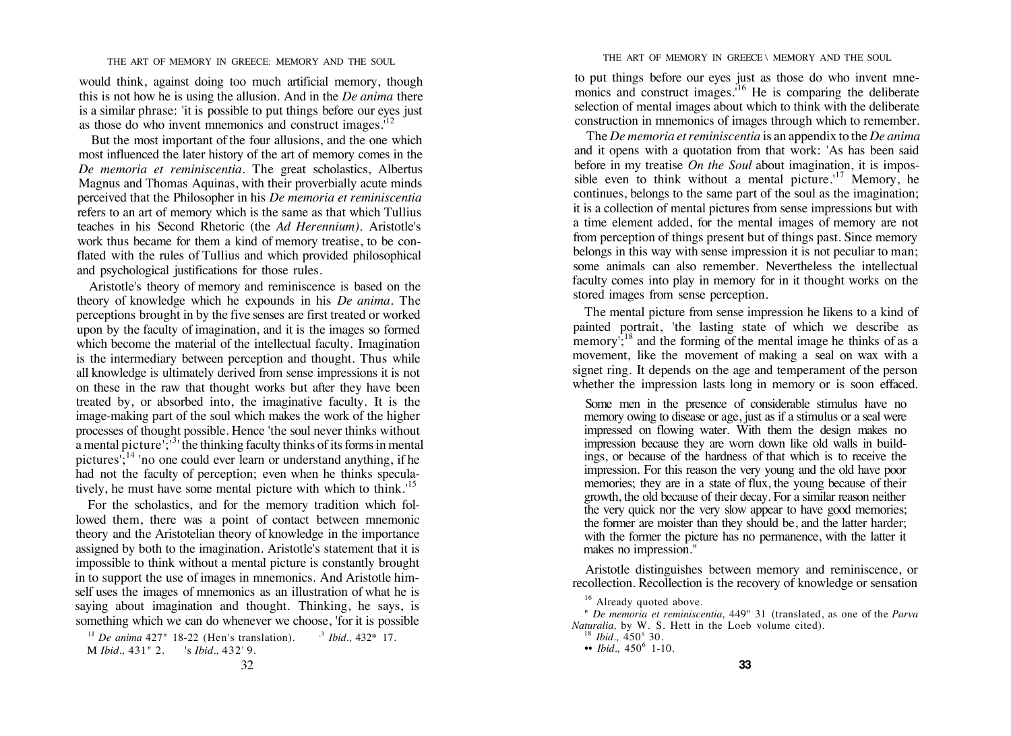would think, against doing too much artificial memory, though this is not how he is using the allusion. And in the *De anima* there is a similar phrase: 'it is possible to put things before our eyes just as those do who invent mnemonics and construct images.'<sup>12</sup>

But the most important of the four allusions, and the one which most influenced the later history of the art of memory comes in the *De memoria et reminiscentia.* The great scholastics, Albertus Magnus and Thomas Aquinas, with their proverbially acute minds perceived that the Philosopher in his *De memoria et reminiscentia*  refers to an art of memory which is the same as that which Tullius teaches in his Second Rhetoric (the *Ad Herennium).* Aristotle's work thus became for them a kind of memory treatise, to be conflated with the rules of Tullius and which provided philosophical and psychological justifications for those rules.

Aristotle's theory of memory and reminiscence is based on the theory of knowledge which he expounds in his *De anima.* The perceptions brought in by the five senses are first treated or worked upon by the faculty of imagination, and it is the images so formed which become the material of the intellectual faculty. Imagination is the intermediary between perception and thought. Thus while all knowledge is ultimately derived from sense impressions it is not on these in the raw that thought works but after they have been treated by, or absorbed into, the imaginative faculty. It is the image-making part of the soul which makes the work of the higher processes of thought possible. Hence 'the soul never thinks without a mental picture';<sup>13</sup> the thinking faculty thinks of its forms in mental pictures';<sup>14</sup> 'no one could ever learn or understand anything, if he had not the faculty of perception; even when he thinks speculatively, he must have some mental picture with which to think.<sup>15</sup>

For the scholastics, and for the memory tradition which followed them, there was a point of contact between mnemonic theory and the Aristotelian theory of knowledge in the importance assigned by both to the imagination. Aristotle's statement that it is impossible to think without a mental picture is constantly brought in to support the use of images in mnemonics. And Aristotle himself uses the images of mnemonics as an illustration of what he is saying about imagination and thought. Thinking, he says, is something which we can do whenever we choose, 'for it is possible

*De anima* 427" 18-22 (Hen's translation). <sup>3</sup> *Ibid.*, 432\* 17. M *Ibid.,* 431" 2. 's *Ibid.,* 432' 9.

to put things before our eyes just as those do who invent mnemonics and construct images.<sup>16</sup> He is comparing the deliberate selection of mental images about which to think with the deliberate construction in mnemonics of images through which to remember.

The *De memoria et reminiscentia* is an appendix to the *De anima*  and it opens with a quotation from that work: 'As has been said before in my treatise *On the Soul* about imagination, it is impossible even to think without a mental picture.<sup>17</sup> Memory, he continues, belongs to the same part of the soul as the imagination; it is a collection of mental pictures from sense impressions but with a time element added, for the mental images of memory are not from perception of things present but of things past. Since memory belongs in this way with sense impression it is not peculiar to man; some animals can also remember. Nevertheless the intellectual faculty comes into play in memory for in it thought works on the stored images from sense perception.

The mental picture from sense impression he likens to a kind of painted portrait, 'the lasting state of which we describe as memory';<sup>18</sup> and the forming of the mental image he thinks of as a movement, like the movement of making a seal on wax with a signet ring. It depends on the age and temperament of the person whether the impression lasts long in memory or is soon effaced.

Some men in the presence of considerable stimulus have no memory owing to disease or age, just as if a stimulus or a seal were impressed on flowing water. With them the design makes no impression because they are worn down like old walls in buildings, or because of the hardness of that which is to receive the impression. For this reason the very young and the old have poor memories; they are in a state of flux, the young because of their growth, the old because of their decay. For a similar reason neither the very quick nor the very slow appear to have good memories; the former are moister than they should be, and the latter harder; with the former the picture has no permanence, with the latter it makes no impression."

Aristotle distinguishes between memory and reminiscence, or recollection. Recollection is the recovery of knowledge or sensation

<sup>&</sup>lt;sup>16</sup> Already quoted above.

<sup>&</sup>quot; *De memoria et reminiscentia,* 449" 31 (translated, as one of the *Parva Naturalia, by W. S. Hett in the Loeb volume cited).* 

*Ibid.*,  $\frac{450^s}{30}$ .

 $\bullet\bullet$  *Ibid.*, 450<sup>6</sup> 1-10.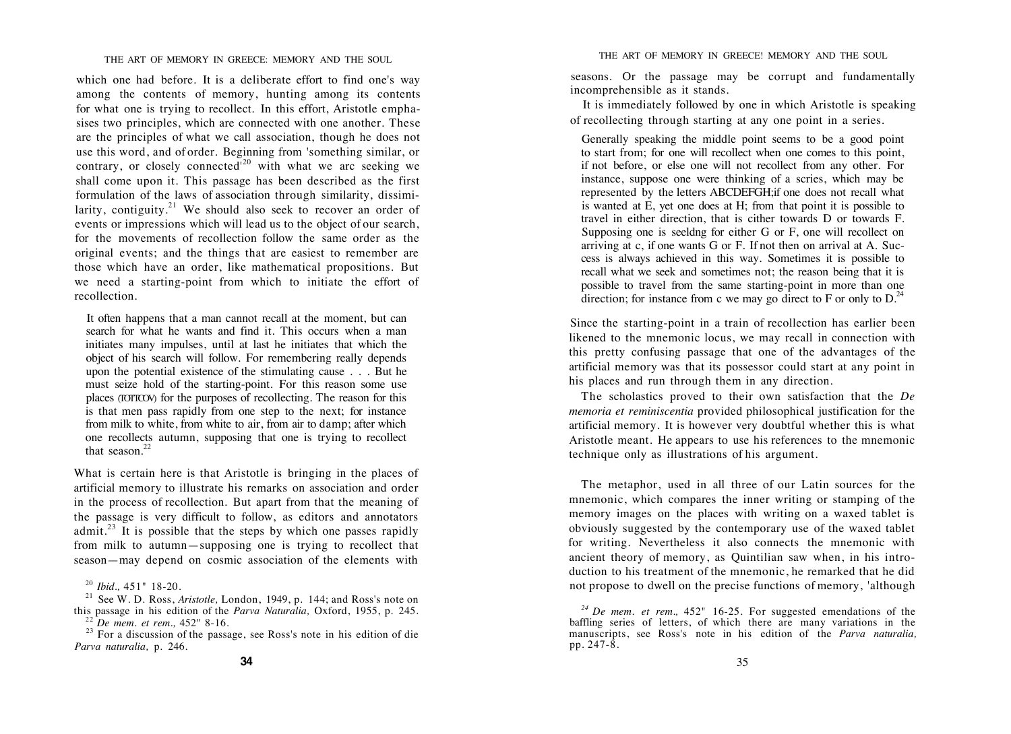which one had before. It is a deliberate effort to find one's way among the contents of memory, hunting among its contents for what one is trying to recollect. In this effort, Aristotle emphasises two principles, which are connected with one another. These are the principles of what we call association, though he does not use this word, and of order. Beginning from 'something similar, or contrary, or closely connected<sup>120</sup> with what we arc seeking we shall come upon it. This passage has been described as the first formulation of the laws of association through similarity, dissimilarity, contiguity.<sup>21</sup> We should also seek to recover an order of events or impressions which will lead us to the object of our search, for the movements of recollection follow the same order as the original events; and the things that are easiest to remember are those which have an order, like mathematical propositions. But we need a starting-point from which to initiate the effort of recollection.

It often happens that a man cannot recall at the moment, but can search for what he wants and find it. This occurs when a man initiates many impulses, until at last he initiates that which the object of his search will follow. For remembering really depends upon the potential existence of the stimulating cause . . . But he must seize hold of the starting-point. For this reason some use places (TOTTCOV) for the purposes of recollecting. The reason for this is that men pass rapidly from one step to the next; for instance from milk to white, from white to air, from air to damp; after which one recollects autumn, supposing that one is trying to recollect that season. $22$ 

What is certain here is that Aristotle is bringing in the places of artificial memory to illustrate his remarks on association and order in the process of recollection. But apart from that the meaning of the passage is very difficult to follow, as editors and annotators admit.<sup>23</sup> It is possible that the steps by which one passes rapidly from milk to autumn—supposing one is trying to recollect that season—may depend on cosmic association of the elements with

seasons. Or the passage may be corrupt and fundamentally incomprehensible as it stands.

It is immediately followed by one in which Aristotle is speaking of recollecting through starting at any one point in a series.

Generally speaking the middle point seems to be a good point to start from; for one will recollect when one comes to this point, if not before, or else one will not recollect from any other. For instance, suppose one were thinking of a scries, which may be represented by the letters ABCDEFGH;if one does not recall what is wanted at E, yet one does at H; from that point it is possible to travel in either direction, that is cither towards D or towards F. Supposing one is seeldng for either G or F, one will recollect on arriving at c, if one wants G or F. If not then on arrival at A. Success is always achieved in this way. Sometimes it is possible to recall what we seek and sometimes not; the reason being that it is possible to travel from the same starting-point in more than one direction; for instance from c we may go direct to F or only to  $D<sup>24</sup>$ 

Since the starting-point in a train of recollection has earlier been likened to the mnemonic locus, we may recall in connection with this pretty confusing passage that one of the advantages of the artificial memory was that its possessor could start at any point in his places and run through them in any direction.

The scholastics proved to their own satisfaction that the *De memoria et reminiscentia* provided philosophical justification for the artificial memory. It is however very doubtful whether this is what Aristotle meant. He appears to use his references to the mnemonic technique only as illustrations of his argument.

The metaphor, used in all three of our Latin sources for the mnemonic, which compares the inner writing or stamping of the memory images on the places with writing on a waxed tablet is obviously suggested by the contemporary use of the waxed tablet for writing. Nevertheless it also connects the mnemonic with ancient theory of memory, as Quintilian saw when, in his introduction to his treatment of the mnemonic, he remarked that he did not propose to dwell on the precise functions of memory, 'although

 $20$  Ibid., 451" 18-20.

<sup>&</sup>lt;sup>20</sup> Ibid., 451" 18-20.<br><sup>21</sup> See W. D. Ross, *Aristotle*, London, 1949, p. 144; and Ross's note on this passage in his edition of the *Parva Naturalia*, Oxford, 1955, p. 245.<br><sup>22</sup> De mem. et rem., 452<sup>n</sup> 8-16.

<sup>&</sup>lt;sup>22</sup> De mem. et rem., 452" 8-16.<br><sup>23</sup> For a discussion of the passage, see Ross's note in his edition of die *Parva naturalia,* p. 246.

<sup>&</sup>lt;sup>24</sup> De mem. et rem., 452" 16-25. For suggested emendations of the baffling series of letters, of which there are many variations in the manuscripts, see Ross's note in his edition of the *Parva naturalia,*  pp. 247-8.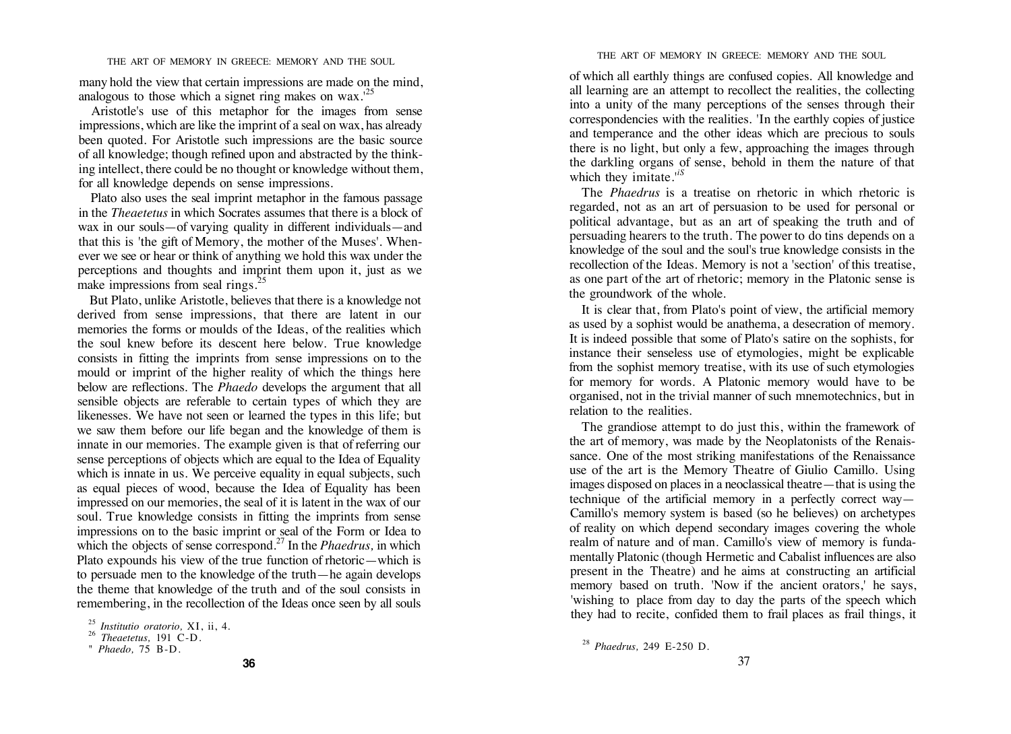many hold the view that certain impressions are made on the mind, analogous to those which a signet ring makes on wax.'<sup>25</sup>

Aristotle's use of this metaphor for the images from sense impressions, which are like the imprint of a seal on wax, has already been quoted. For Aristotle such impressions are the basic source of all knowledge; though refined upon and abstracted by the thinking intellect, there could be no thought or knowledge without them, for all knowledge depends on sense impressions.

Plato also uses the seal imprint metaphor in the famous passage in the *Theaetetus* in which Socrates assumes that there is a block of wax in our souls—of varying quality in different individuals—and that this is 'the gift of Memory, the mother of the Muses'. Whenever we see or hear or think of anything we hold this wax under the perceptions and thoughts and imprint them upon it, just as we make impressions from seal rings. $^{25}$ 

But Plato, unlike Aristotle, believes that there is a knowledge not derived from sense impressions, that there are latent in our memories the forms or moulds of the Ideas, of the realities which the soul knew before its descent here below. True knowledge consists in fitting the imprints from sense impressions on to the mould or imprint of the higher reality of which the things here below are reflections. The *Phaedo* develops the argument that all sensible objects are referable to certain types of which they are likenesses. We have not seen or learned the types in this life; but we saw them before our life began and the knowledge of them is innate in our memories. The example given is that of referring our sense perceptions of objects which are equal to the Idea of Equality which is innate in us. We perceive equality in equal subjects, such as equal pieces of wood, because the Idea of Equality has been impressed on our memories, the seal of it is latent in the wax of our soul. True knowledge consists in fitting the imprints from sense impressions on to the basic imprint or seal of the Form or Idea to which the objects of sense correspond.<sup>27</sup> In the *Phaedrus*, in which Plato expounds his view of the true function of rhetoric—which is to persuade men to the knowledge of the truth—he again develops the theme that knowledge of the truth and of the soul consists in remembering, in the recollection of the Ideas once seen by all souls

of which all earthly things are confused copies. All knowledge and all learning are an attempt to recollect the realities, the collecting into a unity of the many perceptions of the senses through their correspondencies with the realities. 'In the earthly copies of justice and temperance and the other ideas which are precious to souls there is no light, but only a few, approaching the images through the darkling organs of sense, behold in them the nature of that which they imitate.'*iS* 

The *Phaedrus* is a treatise on rhetoric in which rhetoric is regarded, not as an art of persuasion to be used for personal or political advantage, but as an art of speaking the truth and of persuading hearers to the truth. The power to do tins depends on a knowledge of the soul and the soul's true knowledge consists in the recollection of the Ideas. Memory is not a 'section' of this treatise, as one part of the art of rhetoric; memory in the Platonic sense is the groundwork of the whole.

It is clear that, from Plato's point of view, the artificial memory as used by a sophist would be anathema, a desecration of memory. It is indeed possible that some of Plato's satire on the sophists, for instance their senseless use of etymologies, might be explicable from the sophist memory treatise, with its use of such etymologies for memory for words. A Platonic memory would have to be organised, not in the trivial manner of such mnemotechnics, but in relation to the realities.

The grandiose attempt to do just this, within the framework of the art of memory, was made by the Neoplatonists of the Renaissance. One of the most striking manifestations of the Renaissance use of the art is the Memory Theatre of Giulio Camillo. Using images disposed on places in a neoclassical theatre—that is using the technique of the artificial memory in a perfectly correct way— Camillo's memory system is based (so he believes) on archetypes of reality on which depend secondary images covering the whole realm of nature and of man. Camillo's view of memory is fundamentally Platonic (though Hermetic and Cabalist influences are also present in the Theatre) and he aims at constructing an artificial memory based on truth. 'Now if the ancient orators,' he says, 'wishing to place from day to day the parts of the speech which they had to recite, confided them to frail places as frail things, it

<sup>25</sup>  *Institutio oratorio,* XI, ii, 4. 26  *Theaetetus,* 191 C-D.

<sup>&</sup>quot; *Phaedo,* 75 B-D.

<sup>28</sup>  *Phaedrus,* 249 E-250 D.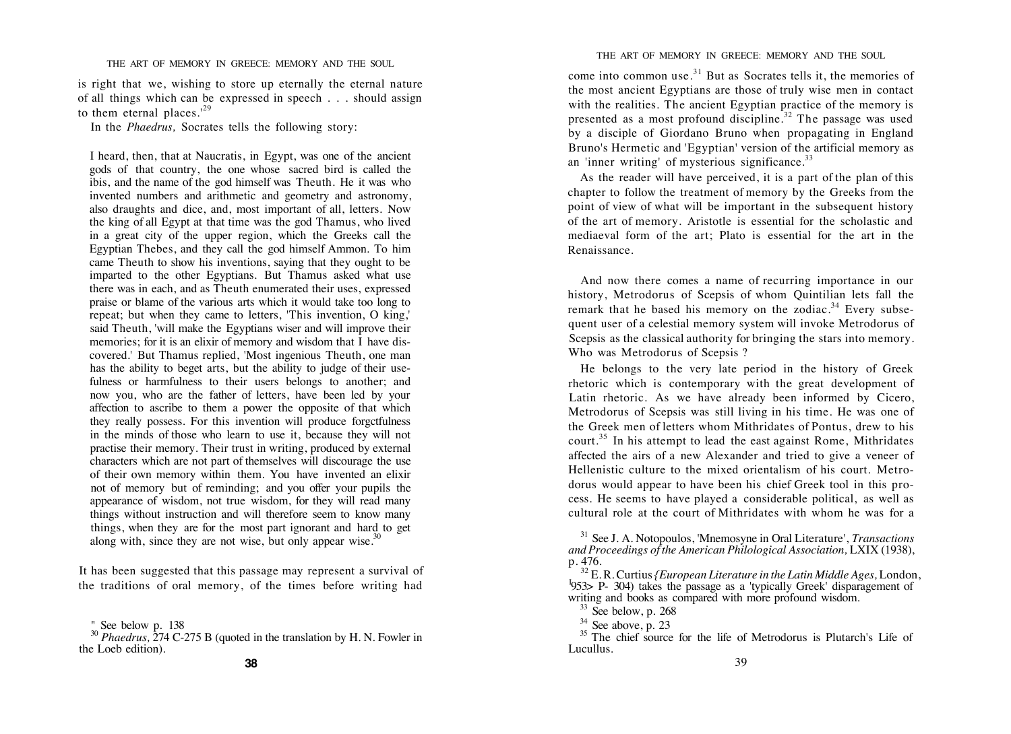is right that we, wishing to store up eternally the eternal nature of all things which can be expressed in speech . . . should assign to them eternal places. $129$ 

In the *Phaedrus,* Socrates tells the following story:

I heard, then, that at Naucratis, in Egypt, was one of the ancient gods of that country, the one whose sacred bird is called the ibis, and the name of the god himself was Theuth. He it was who invented numbers and arithmetic and geometry and astronomy, also draughts and dice, and, most important of all, letters. Now the king of all Egypt at that time was the god Thamus, who lived in a great city of the upper region, which the Greeks call the Egyptian Thebes, and they call the god himself Ammon. To him came Theuth to show his inventions, saying that they ought to be imparted to the other Egyptians. But Thamus asked what use there was in each, and as Theuth enumerated their uses, expressed praise or blame of the various arts which it would take too long to repeat; but when they came to letters, 'This invention, O king,' said Theuth, 'will make the Egyptians wiser and will improve their memories; for it is an elixir of memory and wisdom that I have discovered.' But Thamus replied, 'Most ingenious Theuth, one man has the ability to beget arts, but the ability to judge of their usefulness or harmfulness to their users belongs to another; and now you, who are the father of letters, have been led by your affection to ascribe to them a power the opposite of that which they really possess. For this invention will produce forgctfulness in the minds of those who learn to use it, because they will not practise their memory. Their trust in writing, produced by external characters which are not part of themselves will discourage the use of their own memory within them. You have invented an elixir not of memory but of reminding; and you offer your pupils the appearance of wisdom, not true wisdom, for they will read many things without instruction and will therefore seem to know many things, when they are for the most part ignorant and hard to get along with, since they are not wise, but only appear wise. $30$ 

It has been suggested that this passage may represent a survival of the traditions of oral memory, of the times before writing had

THE ART OF MEMORY IN GREECE: MEMORY AND THE SOUL

come into common use.<sup>31</sup> But as Socrates tells it, the memories of the most ancient Egyptians are those of truly wise men in contact with the realities. The ancient Egyptian practice of the memory is presented as a most profound discipline.<sup>32</sup> The passage was used by a disciple of Giordano Bruno when propagating in England Bruno's Hermetic and 'Egyptian' version of the artificial memory as an 'inner writing' of mysterious significance. $33$ 

As the reader will have perceived, it is a part of the plan of this chapter to follow the treatment of memory by the Greeks from the point of view of what will be important in the subsequent history of the art of memory. Aristotle is essential for the scholastic and mediaeval form of the art; Plato is essential for the art in the Renaissance.

And now there comes a name of recurring importance in our history, Metrodorus of Scepsis of whom Quintilian lets fall the remark that he based his memory on the zodiac.<sup>34</sup> Every subsequent user of a celestial memory system will invoke Metrodorus of Scepsis as the classical authority for bringing the stars into memory. Who was Metrodorus of Scepsis ?

He belongs to the very late period in the history of Greek rhetoric which is contemporary with the great development of Latin rhetoric. As we have already been informed by Cicero, Metrodorus of Scepsis was still living in his time. He was one of the Greek men of letters whom Mithridates of Pontus, drew to his court.<sup>35</sup> In his attempt to lead the east against Rome, Mithridates affected the airs of a new Alexander and tried to give a veneer of Hellenistic culture to the mixed orientalism of his court. Metrodorus would appear to have been his chief Greek tool in this process. He seems to have played a considerable political, as well as cultural role at the court of Mithridates with whom he was for a

 $35<sup>34</sup>$  See above, p. 23<br>35 The chief source for the life of Metrodorus is Plutarch's Life of Lucullus.

<sup>&</sup>lt;sup>"</sup> See below p. 138<br><sup>30</sup> *Phaedrus,* 274 C-275 B (quoted in the translation by H. N. Fowler in the Loeb edition).

<sup>31</sup> See J. A. Notopoulos, 'Mnemosyne in Oral Literature', *Transactions and Proceedings of the American Philological Association,* LXIX (1938), p. 476. 32

<sup>&</sup>lt;sup>32</sup> E. R. Curtius *{European Literature in the Latin Middle Ages*, London,  $\frac{1}{2535}$  P 304), takes the passage as a 'typically Greak' disparagement of  $^{1953>}$  P- 304) takes the passage as a 'typically Greek' disparagement of writing and books as compared with more profound wisdom.  $33$  See below, p. 268

 $34$  See above, p. 23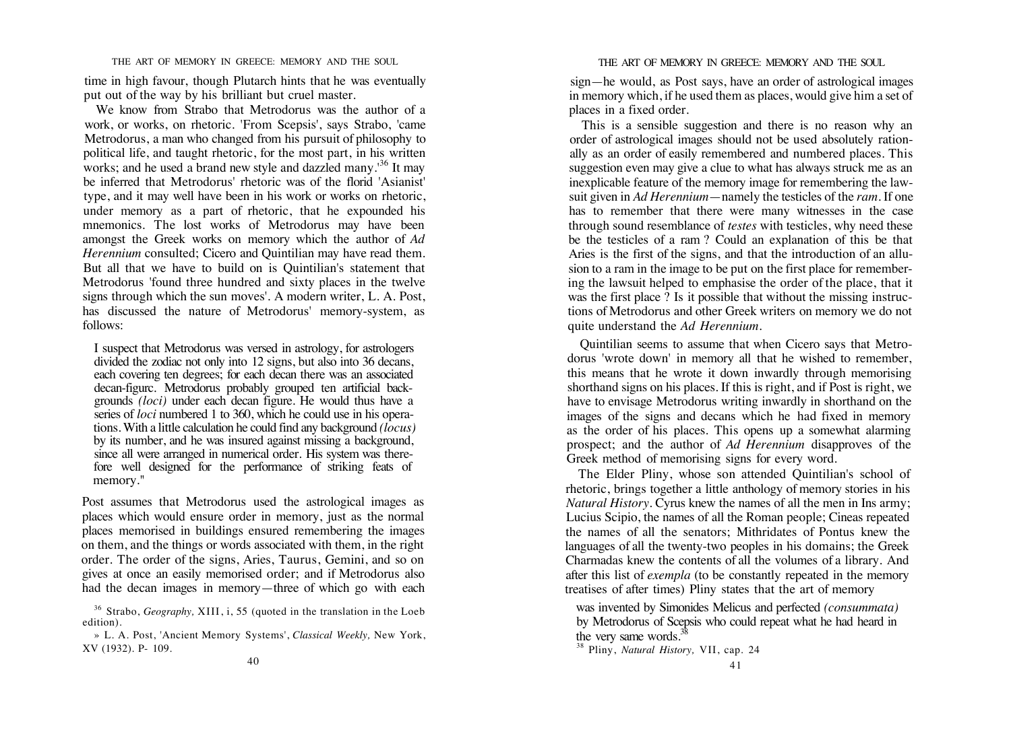#### THE ART OF MEMORY IN GREECE: MEMORY AND THE SOUL

time in high favour, though Plutarch hints that he was eventually put out of the way by his brilliant but cruel master.

We know from Strabo that Metrodorus was the author of a work, or works, on rhetoric. 'From Scepsis', says Strabo, 'came Metrodorus, a man who changed from his pursuit of philosophy to political life, and taught rhetoric, for the most part, in his written works; and he used a brand new style and dazzled many.<sup>36</sup> It may be inferred that Metrodorus' rhetoric was of the florid 'Asianist' type, and it may well have been in his work or works on rhetoric, under memory as a part of rhetoric, that he expounded his mnemonics. The lost works of Metrodorus may have been amongst the Greek works on memory which the author of *Ad Herennium* consulted; Cicero and Quintilian may have read them. But all that we have to build on is Quintilian's statement that Metrodorus 'found three hundred and sixty places in the twelve signs through which the sun moves'. A modern writer, L. A. Post, has discussed the nature of Metrodorus' memory-system, as follows:

I suspect that Metrodorus was versed in astrology, for astrologers divided the zodiac not only into 12 signs, but also into 36 decans, each covering ten degrees; for each decan there was an associated decan-figurc. Metrodorus probably grouped ten artificial backgrounds *(loci)* under each decan figure. He would thus have a series of *loci* numbered 1 to 360, which he could use in his operations. With a little calculation he could find any background *(locus)*  by its number, and he was insured against missing a background, since all were arranged in numerical order. His system was therefore well designed for the performance of striking feats of memory."

Post assumes that Metrodorus used the astrological images as places which would ensure order in memory, just as the normal places memorised in buildings ensured remembering the images on them, and the things or words associated with them, in the right order. The order of the signs, Aries, Taurus, Gemini, and so on gives at once an easily memorised order; and if Metrodorus also had the decan images in memory—three of which go with each

sign—he would, as Post says, have an order of astrological images in memory which, if he used them as places, would give him a set of places in a fixed order.

This is a sensible suggestion and there is no reason why an order of astrological images should not be used absolutely rationally as an order of easily remembered and numbered places. This suggestion even may give a clue to what has always struck me as an inexplicable feature of the memory image for remembering the lawsuit given in *Ad Herennium*—namely the testicles of the *ram.* If one has to remember that there were many witnesses in the case through sound resemblance of *testes* with testicles, why need these be the testicles of a ram ? Could an explanation of this be that Aries is the first of the signs, and that the introduction of an allusion to a ram in the image to be put on the first place for remembering the lawsuit helped to emphasise the order of the place, that it was the first place ? Is it possible that without the missing instructions of Metrodorus and other Greek writers on memory we do not quite understand the *Ad Herennium.* 

Quintilian seems to assume that when Cicero says that Metrodorus 'wrote down' in memory all that he wished to remember, this means that he wrote it down inwardly through memorising shorthand signs on his places. If this is right, and if Post is right, we have to envisage Metrodorus writing inwardly in shorthand on the images of the signs and decans which he had fixed in memory as the order of his places. This opens up a somewhat alarming prospect; and the author of *Ad Herennium* disapproves of the Greek method of memorising signs for every word.

The Elder Pliny, whose son attended Quintilian's school of rhetoric, brings together a little anthology of memory stories in his *Natural History.* Cyrus knew the names of all the men in Ins army; Lucius Scipio, the names of all the Roman people; Cineas repeated the names of all the senators; Mithridates of Pontus knew the languages of all the twenty-two peoples in his domains; the Greek Charmadas knew the contents of all the volumes of a library. And after this list of *exempla* (to be constantly repeated in the memory treatises of after times) Pliny states that the art of memory

was invented by Simonides Melicus and perfected *(consummata)*  by Metrodorus of Scepsis who could repeat what he had heard in the very same words. $3$ 

38 Pliny, *Natural History,* VII, cap. 24

<sup>&</sup>lt;sup>36</sup> Strabo, *Geography*, XIII, i, 55 (quoted in the translation in the Loeb edition).

<sup>»</sup> L. A. Post, 'Ancient Memory Systems', *Classical Weekly,* New York, XV (1932). P- 109.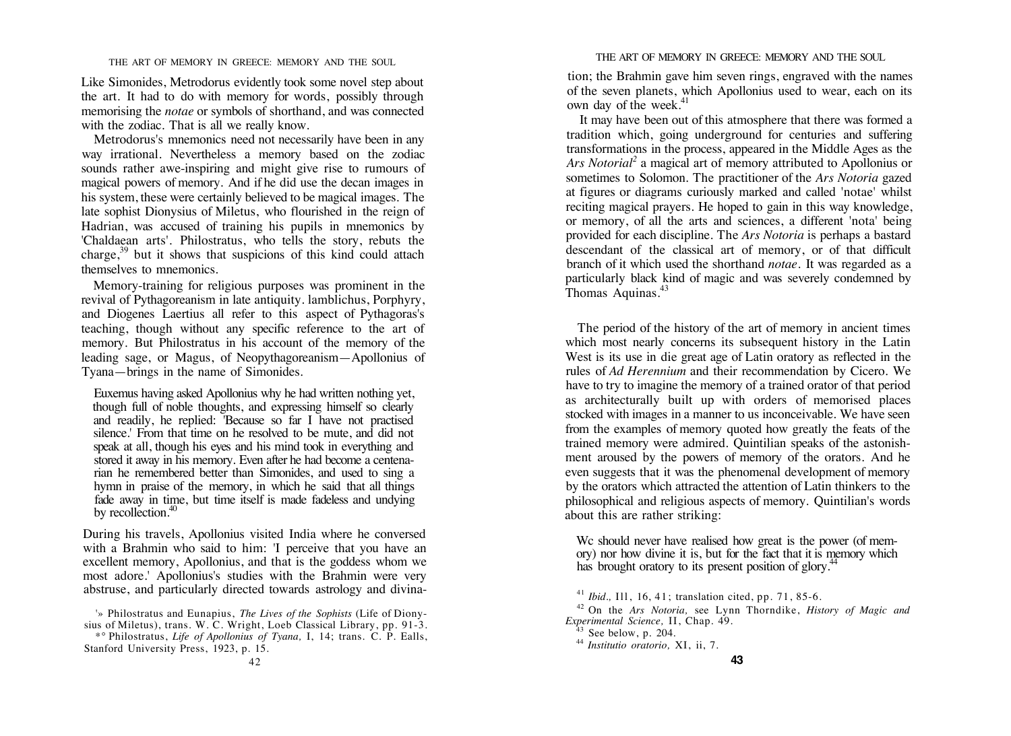Like Simonides, Metrodorus evidently took some novel step about the art. It had to do with memory for words, possibly through memorising the *notae* or symbols of shorthand, and was connected with the zodiac. That is all we really know.

Metrodorus's mnemonics need not necessarily have been in any way irrational. Nevertheless a memory based on the zodiac sounds rather awe-inspiring and might give rise to rumours of magical powers of memory. And if he did use the decan images in his system, these were certainly believed to be magical images. The late sophist Dionysius of Miletus, who flourished in the reign of Hadrian, was accused of training his pupils in mnemonics by 'Chaldaean arts'. Philostratus, who tells the story, rebuts the charge,<sup>39</sup> but it shows that suspicions of this kind could attach themselves to mnemonics.

Memory-training for religious purposes was prominent in the revival of Pythagoreanism in late antiquity. lamblichus, Porphyry, and Diogenes Laertius all refer to this aspect of Pythagoras's teaching, though without any specific reference to the art of memory. But Philostratus in his account of the memory of the leading sage, or Magus, of Neopythagoreanism—Apollonius of Tyana—brings in the name of Simonides.

Euxemus having asked Apollonius why he had written nothing yet, though full of noble thoughts, and expressing himself so clearly and readily, he replied: 'Because so far I have not practised silence.' From that time on he resolved to be mute, and did not speak at all, though his eyes and his mind took in everything and stored it away in his memory. Even after he had become a centenarian he remembered better than Simonides, and used to sing a hymn in praise of the memory, in which he said that all things fade away in time, but time itself is made fadeless and undying by recollection. $40$ 

During his travels, Apollonius visited India where he conversed with a Brahmin who said to him: 'I perceive that you have an excellent memory, Apollonius, and that is the goddess whom we most adore.' Apollonius's studies with the Brahmin were very abstruse, and particularly directed towards astrology and divination; the Brahmin gave him seven rings, engraved with the names of the seven planets, which Apollonius used to wear, each on its own day of the week. $41$ 

It may have been out of this atmosphere that there was formed a tradition which, going underground for centuries and suffering transformations in the process, appeared in the Middle Ages as the *Ars Notorial<sup>2</sup>* a magical art of memory attributed to Apollonius or sometimes to Solomon. The practitioner of the *Ars Notoria* gazed at figures or diagrams curiously marked and called 'notae' whilst reciting magical prayers. He hoped to gain in this way knowledge, or memory, of all the arts and sciences, a different 'nota' being provided for each discipline. The *Ars Notoria* is perhaps a bastard descendant of the classical art of memory, or of that difficult branch of it which used the shorthand *notae.* It was regarded as a particularly black kind of magic and was severely condemned by Thomas Aquinas.<sup>43</sup>

The period of the history of the art of memory in ancient times which most nearly concerns its subsequent history in the Latin West is its use in die great age of Latin oratory as reflected in the rules of *Ad Herennium* and their recommendation by Cicero. We have to try to imagine the memory of a trained orator of that period as architecturally built up with orders of memorised places stocked with images in a manner to us inconceivable. We have seen from the examples of memory quoted how greatly the feats of the trained memory were admired. Quintilian speaks of the astonishment aroused by the powers of memory of the orators. And he even suggests that it was the phenomenal development of memory by the orators which attracted the attention of Latin thinkers to the philosophical and religious aspects of memory. Quintilian's words about this are rather striking:

We should never have realised how great is the power (of mem-<br>ory) nor how divine it is, but for the fact that it is memory which has brought oratory to its present position of glory.<sup>44</sup>

<sup>&#</sup>x27;» Philostratus and Eunapius, *The Lives of the Sophists* (Life of Dionysius of Miletus), trans. W. C. Wright, Loeb Classical Library, pp. 91-3.

*<sup>\*°</sup>* Philostratus, *Life of Apollonius of Tyana,* I, 14; trans. C. P. Ealls, Stanford University Press, 1923, p. 15.

<sup>&</sup>lt;sup>41</sup> *Ibid.*, Ill, 16, 41; translation cited, pp. 71, 85-6.<br><sup>42</sup> Op. the *Ars. Notaria*, see I van Therndike, *Hist* 

On the *Ars Notoria,* see Lynn Thorndike, *History of Magic and Experimental Science,* II, Chap. 49. 43

 $43$  See below, p. 204.

*Institutio oratorio,* XI, ii, 7.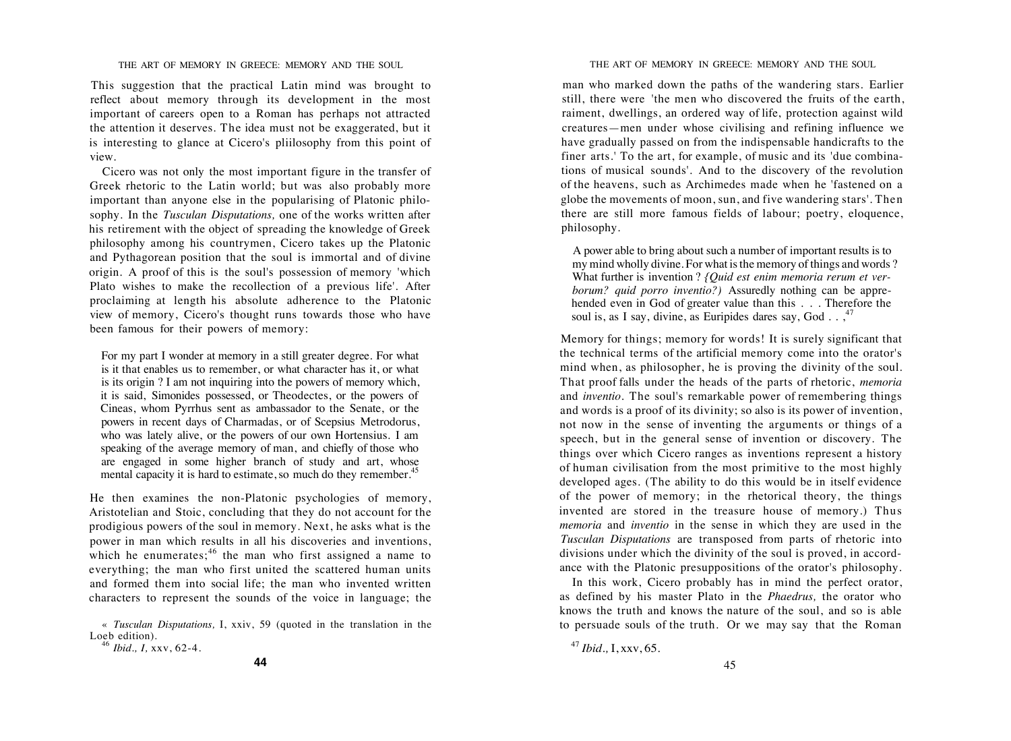This suggestion that the practical Latin mind was brought to reflect about memory through its development in the most important of careers open to a Roman has perhaps not attracted the attention it deserves. The idea must not be exaggerated, but it is interesting to glance at Cicero's pliilosophy from this point of view.

Cicero was not only the most important figure in the transfer of Greek rhetoric to the Latin world; but was also probably more important than anyone else in the popularising of Platonic philosophy. In the *Tusculan Disputations,* one of the works written after his retirement with the object of spreading the knowledge of Greek philosophy among his countrymen, Cicero takes up the Platonic and Pythagorean position that the soul is immortal and of divine origin. A proof of this is the soul's possession of memory 'which Plato wishes to make the recollection of a previous life'. After proclaiming at length his absolute adherence to the Platonic view of memory, Cicero's thought runs towards those who have been famous for their powers of memory:

For my part I wonder at memory in a still greater degree. For what is it that enables us to remember, or what character has it, or what is its origin ? I am not inquiring into the powers of memory which, it is said, Simonides possessed, or Theodectes, or the powers of Cineas, whom Pyrrhus sent as ambassador to the Senate, or the powers in recent days of Charmadas, or of Scepsius Metrodorus, who was lately alive, or the powers of our own Hortensius. I am speaking of the average memory of man, and chiefly of those who are engaged in some higher branch of study and art, whose mental capacity it is hard to estimate, so much do they remember.<sup>45</sup>

He then examines the non-Platonic psychologies of memory, Aristotelian and Stoic, concluding that they do not account for the prodigious powers of the soul in memory. Next, he asks what is the power in man which results in all his discoveries and inventions, which he enumerates;<sup>46</sup> the man who first assigned a name to everything; the man who first united the scattered human units and formed them into social life; the man who invented written characters to represent the sounds of the voice in language; the

« *Tusculan Disputations,* I, xxiv, 59 (quoted in the translation in the Loeb edition).

## THE ART OF MEMORY IN GREECE: MEMORY AND THE SOUL

man who marked down the paths of the wandering stars. Earlier still, there were 'the men who discovered the fruits of the earth, raiment, dwellings, an ordered way of life, protection against wild creatures—men under whose civilising and refining influence we have gradually passed on from the indispensable handicrafts to the finer arts.' To the art, for example, of music and its 'due combinations of musical sounds'. And to the discovery of the revolution of the heavens, such as Archimedes made when he 'fastened on a globe the movements of moon, sun, and five wandering stars'. Then there are still more famous fields of labour; poetry, eloquence, philosophy.

A power able to bring about such a number of important results is to my mind wholly divine. For what is the memory of things and words ? What further is invention ? *{Quid est enim memoria rerum et verborum? quid porro inventio?)* Assuredly nothing can be apprehended even in God of greater value than this . . . Therefore the soul is, as I say, divine, as Euripides dares say, God  $\ldots$ ,<sup>47</sup>

Memory for things; memory for words! It is surely significant that the technical terms of the artificial memory come into the orator's mind when, as philosopher, he is proving the divinity of the soul. That proof falls under the heads of the parts of rhetoric, *memoria*  and *inventio.* The soul's remarkable power of remembering things and words is a proof of its divinity; so also is its power of invention, not now in the sense of inventing the arguments or things of a speech, but in the general sense of invention or discovery. The things over which Cicero ranges as inventions represent a history of human civilisation from the most primitive to the most highly developed ages. (The ability to do this would be in itself evidence of the power of memory; in the rhetorical theory, the things invented are stored in the treasure house of memory.) Thus *memoria* and *inventio* in the sense in which they are used in the *Tusculan Disputations* are transposed from parts of rhetoric into divisions under which the divinity of the soul is proved, in accordance with the Platonic presuppositions of the orator's philosophy.

In this work, Cicero probably has in mind the perfect orator, as defined by his master Plato in the *Phaedrus,* the orator who knows the truth and knows the nature of the soul, and so is able to persuade souls of the truth. Or we may say that the Roman

*Ibid., I,* xxv, 62-4.

<sup>47</sup>  *Ibid.,* I, xxv, 65.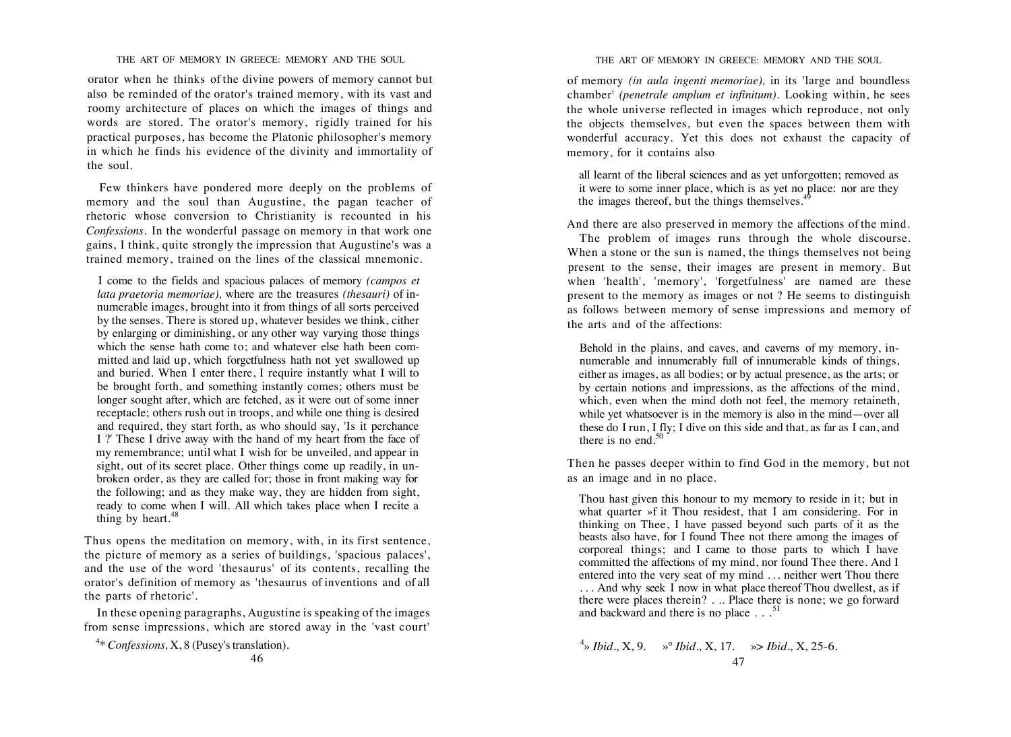orator when he thinks of the divine powers of memory cannot but also be reminded of the orator's trained memory, with its vast and roomy architecture of places on which the images of things and words are stored. The orator's memory, rigidly trained for his practical purposes, has become the Platonic philosopher's memory in which he finds his evidence of the divinity and immortality of the soul.

Few thinkers have pondered more deeply on the problems of memory and the soul than Augustine, the pagan teacher of rhetoric whose conversion to Christianity is recounted in his *Confessions.* In the wonderful passage on memory in that work one gains, I think, quite strongly the impression that Augustine's was a trained memory, trained on the lines of the classical mnemonic.

I come to the fields and spacious palaces of memory *(campos et lata praetoria memoriae),* where are the treasures *(thesauri)* of innumerable images, brought into it from things of all sorts perceived by the senses. There is stored up, whatever besides we think, cither by enlarging or diminishing, or any other way varying those things which the sense hath come to; and whatever else hath been committed and laid up, which forgctfulness hath not yet swallowed up and buried. When I enter there, I require instantly what I will to be brought forth, and something instantly comes; others must be longer sought after, which are fetched, as it were out of some inner receptacle; others rush out in troops, and while one thing is desired and required, they start forth, as who should say, 'Is it perchance I ?' These I drive away with the hand of my heart from the face of my remembrance; until what I wish for be unveiled, and appear in sight, out of its secret place. Other things come up readily, in unbroken order, as they are called for; those in front making way for the following; and as they make way, they are hidden from sight, ready to come when I will. All which takes place when I recite a thing by heart. $48$ 

Thus opens the meditation on memory, with, in its first sentence, the picture of memory as a series of buildings, 'spacious palaces', and the use of the word 'thesaurus' of its contents, recalling the orator's definition of memory as 'thesaurus of inventions and of all the parts of rhetoric'.

In these opening paragraphs, Augustine is speaking of the images from sense impressions, which are stored away in the 'vast court'

# 46

#### THE ART OF MEMORY IN GREECE: MEMORY AND THE SOUL

of memory *(in aula ingenti memoriae),* in its 'large and boundless chamber' *(penetrale amplum et infinitum).* Looking within, he sees the whole universe reflected in images which reproduce, not only the objects themselves, but even the spaces between them with wonderful accuracy. Yet this does not exhaust the capacity of memory, for it contains also

all learnt of the liberal sciences and as yet unforgotten; removed as it were to some inner place, which is as yet no place: nor are they the images thereof, but the things themselves.<sup>4</sup>

And there are also preserved in memory the affections of the mind.

The problem of images runs through the whole discourse. When a stone or the sun is named, the things themselves not being present to the sense, their images are present in memory. But when 'health', 'memory', 'forgetfulness' are named are these present to the memory as images or not ? He seems to distinguish as follows between memory of sense impressions and memory of the arts and of the affections:

Behold in the plains, and caves, and caverns of my memory, innumerable and innumerably full of innumerable kinds of things, either as images, as all bodies; or by actual presence, as the arts; or by certain notions and impressions, as the affections of the mind, which, even when the mind doth not feel, the memory retaineth, while yet whatsoever is in the memory is also in the mind—over all these do I run, I fly; I dive on this side and that, as far as I can, and there is no end. $50$ 

Then he passes deeper within to find God in the memory, but not as an image and in no place.

Thou hast given this honour to my memory to reside in it; but in what quarter »f it Thou residest, that I am considering. For in thinking on Thee, I have passed beyond such parts of it as the beasts also have, for I found Thee not there among the images of corporeal things; and I came to those parts to which I have committed the affections of my mind, nor found Thee there. And I entered into the very seat of my mind .. . neither wert Thou there . . . And why seek I now in what place thereof Thou dwellest, as if there were places therein? . .. Place there is none; we go forward and backward and there is no place  $\ldots$ <sup>51</sup>

4 » *Ibid.,* X, 9. »° *Ibid.,* X, 17. »> *Ibid.,* X, 25-6. 47

<sup>4</sup> \* *Confessions,* X, 8 (Pusey's translation).